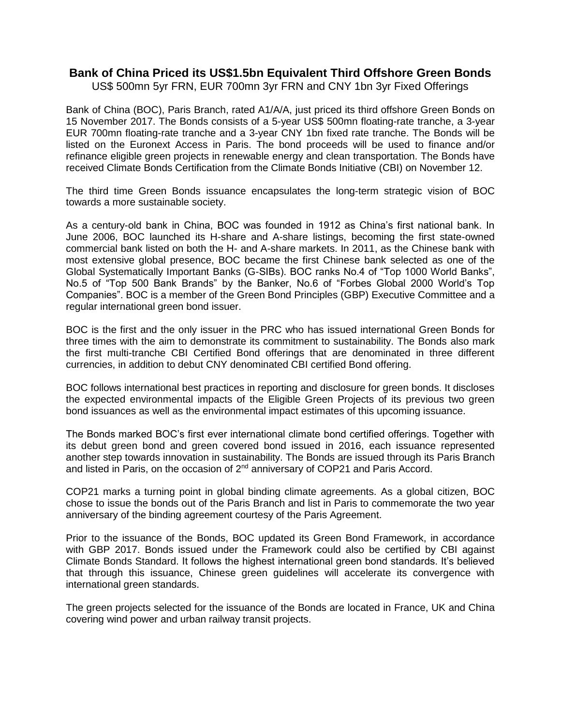## **Bank of China Priced its US\$1.5bn Equivalent Third Offshore Green Bonds**

US\$ 500mn 5yr FRN, EUR 700mn 3yr FRN and CNY 1bn 3yr Fixed Offerings

Bank of China (BOC), Paris Branch, rated A1/A/A, just priced its third offshore Green Bonds on 15 November 2017. The Bonds consists of a 5-year US\$ 500mn floating-rate tranche, a 3-year EUR 700mn floating-rate tranche and a 3-year CNY 1bn fixed rate tranche. The Bonds will be listed on the Euronext Access in Paris. The bond proceeds will be used to finance and/or refinance eligible green projects in renewable energy and clean transportation. The Bonds have received Climate Bonds Certification from the Climate Bonds Initiative (CBI) on November 12.

The third time Green Bonds issuance encapsulates the long-term strategic vision of BOC towards a more sustainable society.

As a century-old bank in China, BOC was founded in 1912 as China's first national bank. In June 2006, BOC launched its H-share and A-share listings, becoming the first state-owned commercial bank listed on both the H- and A-share markets. In 2011, as the Chinese bank with most extensive global presence, BOC became the first Chinese bank selected as one of the Global Systematically Important Banks (G-SIBs). BOC ranks No.4 of "Top 1000 World Banks", No.5 of "Top 500 Bank Brands" by the Banker, No.6 of "Forbes Global 2000 World's Top Companies". BOC is a member of the Green Bond Principles (GBP) Executive Committee and a regular international green bond issuer.

BOC is the first and the only issuer in the PRC who has issued international Green Bonds for three times with the aim to demonstrate its commitment to sustainability. The Bonds also mark the first multi-tranche CBI Certified Bond offerings that are denominated in three different currencies, in addition to debut CNY denominated CBI certified Bond offering.

BOC follows international best practices in reporting and disclosure for green bonds. It discloses the expected environmental impacts of the Eligible Green Projects of its previous two green bond issuances as well as the environmental impact estimates of this upcoming issuance.

The Bonds marked BOC's first ever international climate bond certified offerings. Together with its debut green bond and green covered bond issued in 2016, each issuance represented another step towards innovation in sustainability. The Bonds are issued through its Paris Branch and listed in Paris, on the occasion of 2<sup>nd</sup> anniversary of COP21 and Paris Accord.

COP21 marks a turning point in global binding climate agreements. As a global citizen, BOC chose to issue the bonds out of the Paris Branch and list in Paris to commemorate the two year anniversary of the binding agreement courtesy of the Paris Agreement.

Prior to the issuance of the Bonds, BOC updated its Green Bond Framework, in accordance with GBP 2017. Bonds issued under the Framework could also be certified by CBI against Climate Bonds Standard. It follows the highest international green bond standards. It's believed that through this issuance, Chinese green guidelines will accelerate its convergence with international green standards.

The green projects selected for the issuance of the Bonds are located in France, UK and China covering wind power and urban railway transit projects.